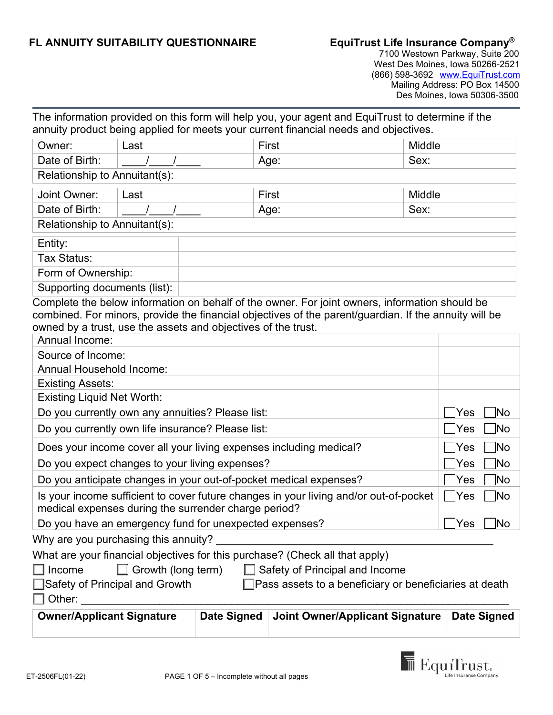## **FL ANNUITY SUITABILITY QUESTIONNAIRE EquiTrust Life Insurance Company®**

7100 Westown Parkway, Suite 200 West Des Moines, Iowa 50266-2521 (866) 598-3692 www.EquiTrust.com Mailing Address: PO Box 14500 Des Moines, Iowa 50306-3500

| annuity product being applied for meets your current financial needs and objectives.                                                                               |                            |              |       | The information provided on this form will help you, your agent and EquiTrust to determine if the |        |            |      |
|--------------------------------------------------------------------------------------------------------------------------------------------------------------------|----------------------------|--------------|-------|---------------------------------------------------------------------------------------------------|--------|------------|------|
| Owner:                                                                                                                                                             | Last                       |              | First |                                                                                                   | Middle |            |      |
| Date of Birth:                                                                                                                                                     |                            |              | Age:  |                                                                                                   | Sex:   |            |      |
| Relationship to Annuitant(s):                                                                                                                                      |                            |              |       |                                                                                                   |        |            |      |
| Joint Owner:                                                                                                                                                       | Last                       |              | First |                                                                                                   | Middle |            |      |
| Date of Birth:                                                                                                                                                     |                            | Sex:<br>Age: |       |                                                                                                   |        |            |      |
| Relationship to Annuitant(s):                                                                                                                                      |                            |              |       |                                                                                                   |        |            |      |
| Entity:                                                                                                                                                            |                            |              |       |                                                                                                   |        |            |      |
| Tax Status:                                                                                                                                                        |                            |              |       |                                                                                                   |        |            |      |
| Form of Ownership:                                                                                                                                                 |                            |              |       |                                                                                                   |        |            |      |
| Supporting documents (list):                                                                                                                                       |                            |              |       |                                                                                                   |        |            |      |
| owned by a trust, use the assets and objectives of the trust.<br>Annual Income:<br>Source of Income:<br><b>Annual Household Income:</b><br><b>Existing Assets:</b> |                            |              |       |                                                                                                   |        |            |      |
| <b>Existing Liquid Net Worth:</b>                                                                                                                                  |                            |              |       |                                                                                                   |        | <b>Yes</b> | No   |
| Do you currently own any annuities? Please list:<br>Do you currently own life insurance? Please list:                                                              |                            |              |       |                                                                                                   | Yes    | ้∣No       |      |
| Does your income cover all your living expenses including medical?                                                                                                 |                            |              |       |                                                                                                   |        | Yes        | ้∣No |
| Do you expect changes to your living expenses?                                                                                                                     |                            |              |       |                                                                                                   |        | Yes        | ้∣No |
| Do you anticipate changes in your out-of-pocket medical expenses?                                                                                                  |                            |              |       | Yes                                                                                               | ้ No   |            |      |
| medical expenses during the surrender charge period?                                                                                                               |                            |              |       | Is your income sufficient to cover future changes in your living and/or out-of-pocket             |        | Yes        | ⊺No  |
| Do you have an emergency fund for unexpected expenses?                                                                                                             |                            |              |       |                                                                                                   |        | Yes        | No   |
| Why are you purchasing this annuity?                                                                                                                               |                            |              |       |                                                                                                   |        |            |      |
| What are your financial objectives for this purchase? (Check all that apply)<br>$\Box$ Income<br>■Safety of Principal and Growth                                   | Growth (long term)         |              |       | Safety of Principal and Income<br>$\Box$ Pass assets to a beneficiary or beneficiaries at death   |        |            |      |
| Other:                                                                                                                                                             | QuinorlAnnligant Cianotura |              |       | Dato Signad Laint Qurpor/Applicant Signature Dato Signad                                          |        |            |      |



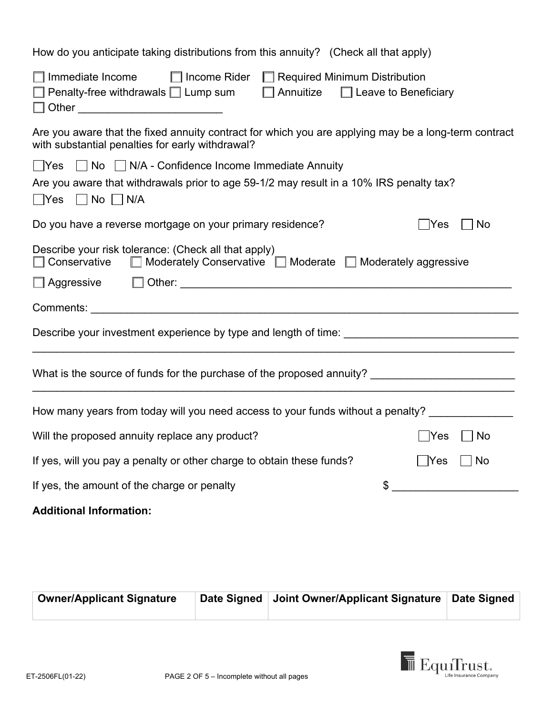| How do you anticipate taking distributions from this annuity? (Check all that apply)                                                                                                                                |  |  |  |  |
|---------------------------------------------------------------------------------------------------------------------------------------------------------------------------------------------------------------------|--|--|--|--|
| $\Box$ Income Rider $\Box$ Required Minimum Distribution<br>$\Box$ Immediate Income<br>Penalty-free withdrawals □ Lump sum<br>$\Box$ Annuitize $\Box$ Leave to Beneficiary<br>□ Other _____________________________ |  |  |  |  |
| Are you aware that the fixed annuity contract for which you are applying may be a long-term contract<br>with substantial penalties for early withdrawal?                                                            |  |  |  |  |
| $\Box$ Yes $\Box$ No $\Box$ N/A - Confidence Income Immediate Annuity                                                                                                                                               |  |  |  |  |
| Are you aware that withdrawals prior to age 59-1/2 may result in a 10% IRS penalty tax?<br>$\Box$ Yes $\Box$ No $\Box$ N/A                                                                                          |  |  |  |  |
| Do you have a reverse mortgage on your primary residence?<br>No<br>$\sf Yes$                                                                                                                                        |  |  |  |  |
| Describe your risk tolerance: (Check all that apply)<br>$\Box$ Conservative $\Box$ Moderately Conservative $\Box$ Moderate $\Box$ Moderately aggressive                                                             |  |  |  |  |
|                                                                                                                                                                                                                     |  |  |  |  |
|                                                                                                                                                                                                                     |  |  |  |  |
|                                                                                                                                                                                                                     |  |  |  |  |
|                                                                                                                                                                                                                     |  |  |  |  |
| How many years from today will you need access to your funds without a penalty? ______________                                                                                                                      |  |  |  |  |
| Will the proposed annuity replace any product?<br> Yes<br>No                                                                                                                                                        |  |  |  |  |
| If yes, will you pay a penalty or other charge to obtain these funds?<br>No<br> Yes                                                                                                                                 |  |  |  |  |
| If yes, the amount of the charge or penalty<br>\$                                                                                                                                                                   |  |  |  |  |
| <b>Additional Information:</b>                                                                                                                                                                                      |  |  |  |  |
|                                                                                                                                                                                                                     |  |  |  |  |

| <b>Owner/Applicant Signature</b> | Date Signed   Joint Owner/Applicant Signature   Date Signed |  |
|----------------------------------|-------------------------------------------------------------|--|
|                                  |                                                             |  |

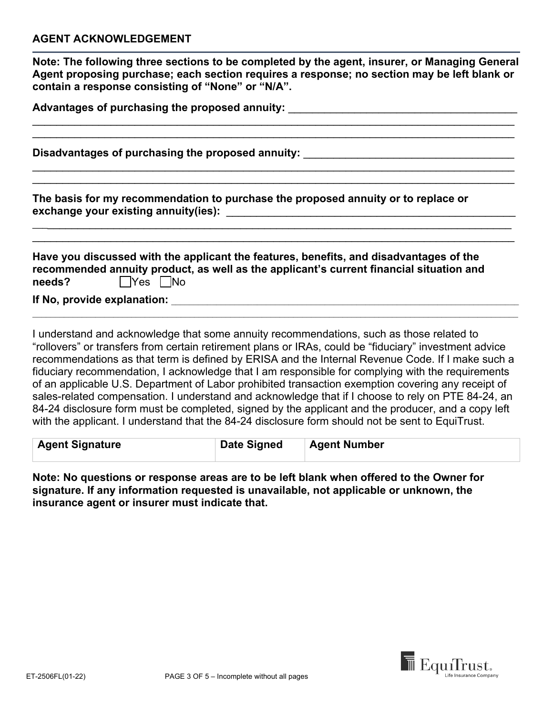**Note: The following three sections to be completed by the agent, insurer, or Managing General Agent proposing purchase; each section requires a response; no section may be left blank or contain a response consisting of "None" or "N/A".**

\_\_\_\_\_\_\_\_\_\_\_\_\_\_\_\_\_\_\_\_\_\_\_\_\_\_\_\_\_\_\_\_\_\_\_\_\_\_\_\_\_\_\_\_\_\_\_\_\_\_\_\_\_\_\_\_\_\_\_\_\_\_\_\_\_\_\_\_\_\_\_\_\_\_\_\_\_\_\_\_ \_\_\_\_\_\_\_\_\_\_\_\_\_\_\_\_\_\_\_\_\_\_\_\_\_\_\_\_\_\_\_\_\_\_\_\_\_\_\_\_\_\_\_\_\_\_\_\_\_\_\_\_\_\_\_\_\_\_\_\_\_\_\_\_\_\_\_\_\_\_\_\_\_\_\_\_\_\_\_\_

\_\_\_\_\_\_\_\_\_\_\_\_\_\_\_\_\_\_\_\_\_\_\_\_\_\_\_\_\_\_\_\_\_\_\_\_\_\_\_\_\_\_\_\_\_\_\_\_\_\_\_\_\_\_\_\_\_\_\_\_\_\_\_\_\_\_\_\_\_\_\_\_\_\_\_\_\_\_\_\_ \_\_\_\_\_\_\_\_\_\_\_\_\_\_\_\_\_\_\_\_\_\_\_\_\_\_\_\_\_\_\_\_\_\_\_\_\_\_\_\_\_\_\_\_\_\_\_\_\_\_\_\_\_\_\_\_\_\_\_\_\_\_\_\_\_\_\_\_\_\_\_\_\_\_\_\_\_\_\_\_

\_\_\_\_\_\_\_\_\_\_\_\_\_\_\_\_\_\_\_\_\_\_\_\_\_\_\_\_\_\_\_\_\_\_\_\_\_\_\_\_\_\_\_\_\_\_\_\_\_\_\_\_\_\_\_\_\_\_\_\_\_\_\_\_\_\_\_\_\_\_\_\_\_\_\_\_\_\_\_\_ \_\_\_\_\_\_\_\_\_\_\_\_\_\_\_\_\_\_\_\_\_\_\_\_\_\_\_\_\_\_\_\_\_\_\_\_\_\_\_\_\_\_\_\_\_\_\_\_\_\_\_\_\_\_\_\_\_\_\_\_\_\_\_\_\_\_\_\_\_\_\_\_\_\_\_\_\_\_\_\_

| Advantages of purchasing the proposed annuity: 」 |  |
|--------------------------------------------------|--|
|--------------------------------------------------|--|

**Disadvantages of purchasing the proposed annuity:** \_\_\_\_\_\_\_\_\_\_\_\_\_\_\_\_\_\_\_\_\_\_\_\_\_\_\_\_\_\_\_\_\_\_\_

**The basis for my recommendation to purchase the proposed annuity or to replace or exchange your existing annuity(ies):** \_\_\_\_\_\_\_\_\_\_\_\_\_\_\_\_\_\_\_\_\_\_\_\_\_\_\_\_\_\_\_\_\_\_\_\_\_\_\_\_\_\_\_\_\_\_\_\_

|        | Have you discussed with the applicant the features, benefits, and disadvantages of the  |
|--------|-----------------------------------------------------------------------------------------|
|        | recommended annuity product, as well as the applicant's current financial situation and |
| needs? | $\Box$ Yes $\Box$ No                                                                    |

**If No, provide explanation: Designed as a set of the set of the set of the set of the set of the set of the set of the set of the set of the set of the set of the set of the set of the set of the set of the set of the s** 

I understand and acknowledge that some annuity recommendations, such as those related to "rollovers" or transfers from certain retirement plans or IRAs, could be "fiduciary" investment advice recommendations as that term is defined by ERISA and the Internal Revenue Code. If I make such a fiduciary recommendation, I acknowledge that I am responsible for complying with the requirements of an applicable U.S. Department of Labor prohibited transaction exemption covering any receipt of sales-related compensation. I understand and acknowledge that if I choose to rely on PTE 84-24, an 84-24 disclosure form must be completed, signed by the applicant and the producer, and a copy left with the applicant. I understand that the 84-24 disclosure form should not be sent to EquiTrust.

\_\_\_\_\_\_\_\_\_\_\_\_\_\_\_\_\_\_\_\_\_\_\_\_\_\_\_\_\_\_\_\_\_\_\_\_\_\_\_\_\_\_\_\_\_\_\_\_\_\_\_\_\_\_\_\_\_\_\_\_\_\_\_\_\_\_\_\_\_\_\_\_\_\_\_\_\_\_\_\_\_\_\_\_\_\_\_\_\_\_\_\_\_\_\_\_\_\_\_\_\_\_\_\_\_\_\_\_

| <b>Agent Signature</b> | <b>Date Signed</b> | <b>Agent Number</b> |
|------------------------|--------------------|---------------------|
|                        |                    |                     |

**Note: No questions or response areas are to be left blank when offered to the Owner for signature. If any information requested is unavailable, not applicable or unknown, the insurance agent or insurer must indicate that.** 

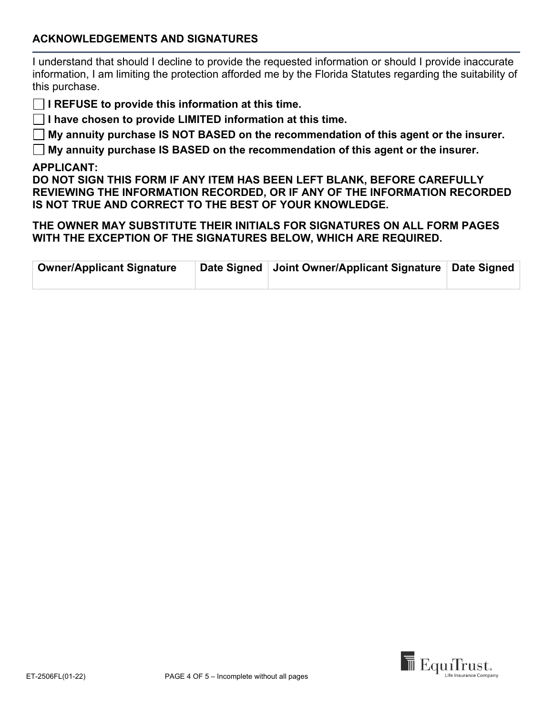## **ACKNOWLEDGEMENTS AND SIGNATURES**

I understand that should I decline to provide the requested information or should I provide inaccurate information, I am limiting the protection afforded me by the Florida Statutes regarding the suitability of this purchase.

**I REFUSE to provide this information at this time.** 

**I have chosen to provide LIMITED information at this time.** 

**My annuity purchase IS NOT BASED on the recommendation of this agent or the insurer.** 

**My annuity purchase IS BASED on the recommendation of this agent or the insurer.** 

## **APPLICANT:**

**DO NOT SIGN THIS FORM IF ANY ITEM HAS BEEN LEFT BLANK, BEFORE CAREFULLY REVIEWING THE INFORMATION RECORDED, OR IF ANY OF THE INFORMATION RECORDED IS NOT TRUE AND CORRECT TO THE BEST OF YOUR KNOWLEDGE.** 

**THE OWNER MAY SUBSTITUTE THEIR INITIALS FOR SIGNATURES ON ALL FORM PAGES WITH THE EXCEPTION OF THE SIGNATURES BELOW, WHICH ARE REQUIRED.** 

| <b>Owner/Applicant Signature</b> | Date Signed   Joint Owner/Applicant Signature   Date Signed |  |
|----------------------------------|-------------------------------------------------------------|--|
|                                  |                                                             |  |